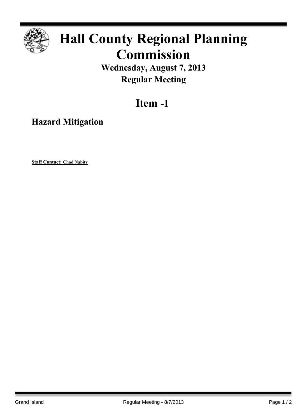

## **Hall County Regional Planning Commission**

**Wednesday, August 7, 2013 Regular Meeting**

**Item -1**

**Hazard Mitigation**

**Staff Contact: Chad Nabity**